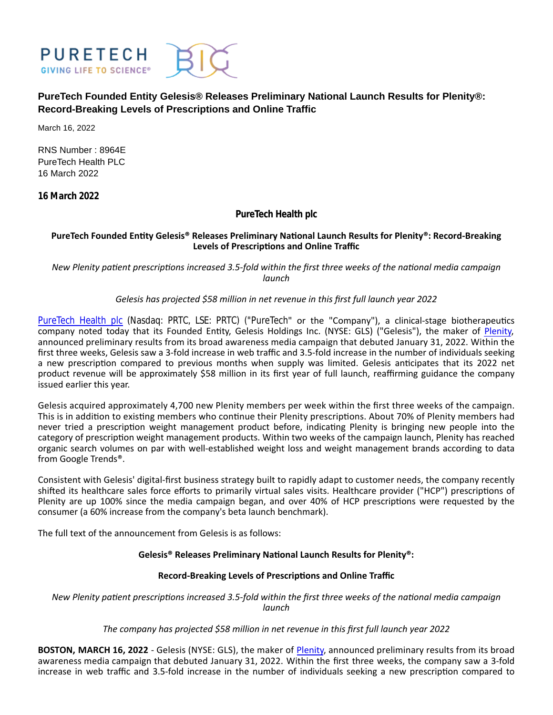

# **PureTech Founded Entity Gelesis® Releases Preliminary National Launch Results for Plenity®: Record-Breaking Levels of Prescriptions and Online Traffic**

March 16, 2022

RNS Number : 8964E PureTech Health PLC 16 March 2022

**16 March 2022**

**PureTech Health plc**

# PureTech Founded Entity Gelesis® Releases Preliminary National Launch Results for Plenity®: Record-Breaking **Levels of Prescriptions and Online Traffic**

*New Plenity patient prescriptions increased 3.5-fold within the first three weeks of the national media campaign launch*

# *Gelesis has projected \$58 million in net revenue in this first full launch year 2022*

[PureTech Health plc](https://puretechhealth.com/) (Nasdaq: PRTC, LSE: PRTC) ("PureTech" or the "Company"), a clinical-stage biotherapeutics company noted today that its Founded Entity, Gelesis Holdings Inc. (NYSE: GLS) ("Gelesis"), the maker of [Plenity,](http://www.myplenity.com/) announced preliminary results from its broad awareness media campaign that debuted January 31, 2022. Within the first three weeks, Gelesis saw a 3-fold increase in web traffic and 3.5-fold increase in the number of individuals seeking a new prescription compared to previous months when supply was limited. Gelesis anticipates that its 2022 net product revenue will be approximately \$58 million in its first year of full launch, reaffirming guidance the company issued earlier this year.

Gelesis acquired approximately 4,700 new Plenity members per week within the first three weeks of the campaign. This is in addition to existing members who continue their Plenity prescriptions. About 70% of Plenity members had never tried a prescription weight management product before, indicating Plenity is bringing new people into the category of prescription weight management products. Within two weeks of the campaign launch, Plenity has reached organic search volumes on par with well-established weight loss and weight management brands according to data from Google Trends®.

Consistent with Gelesis' digital-first business strategy built to rapidly adapt to customer needs, the company recently shifted its healthcare sales force efforts to primarily virtual sales visits. Healthcare provider ("HCP") prescriptions of Plenity are up 100% since the media campaign began, and over 40% of HCP prescriptions were requested by the consumer (a 60% increase from the company's beta launch benchmark).

The full text of the announcement from Gelesis is as follows:

### Gelesis<sup>®</sup> Releases Preliminary National Launch Results for Plenity<sup>®</sup>:

### **Record-Breaking Levels of PrescripƟons and Online Traffic**

*New Plenity patient prescriptions increased 3.5-fold within the first three weeks of the national media campaign launch*

### *The company has projected \$58 million in net revenue in this first full launch year 2022*

**BOSTON, MARCH 16, 2022** - Gelesis (NYSE: GLS), the maker of [Plenity,](http://www.myplenity.com/) announced preliminary results from its broad awareness media campaign that debuted January 31, 2022. Within the first three weeks, the company saw a 3-fold increase in web traffic and 3.5-fold increase in the number of individuals seeking a new prescription compared to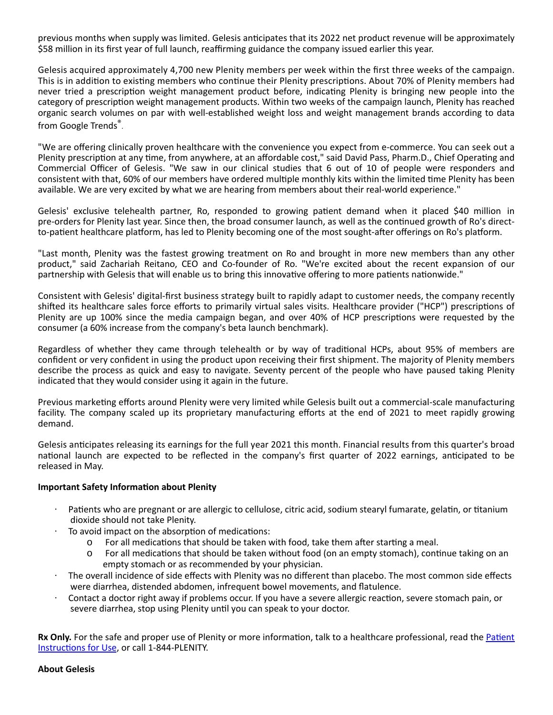previous months when supply was limited. Gelesis anticipates that its 2022 net product revenue will be approximately \$58 million in its first year of full launch, reaffirming guidance the company issued earlier this year.

Gelesis acquired approximately 4,700 new Plenity members per week within the first three weeks of the campaign. This is in addition to existing members who continue their Plenity prescriptions. About 70% of Plenity members had never tried a prescription weight management product before, indicating Plenity is bringing new people into the category of prescription weight management products. Within two weeks of the campaign launch, Plenity has reached organic search volumes on par with well-established weight loss and weight management brands according to data from Google Trends<sup>®</sup>.

"We are offering clinically proven healthcare with the convenience you expect from e-commerce. You can seek out a Plenity prescription at any time, from anywhere, at an affordable cost," said David Pass, Pharm.D., Chief Operating and Commercial Officer of Gelesis. "We saw in our clinical studies that 6 out of 10 of people were responders and consistent with that, 60% of our members have ordered multiple monthly kits within the limited time Plenity has been available. We are very excited by what we are hearing from members about their real-world experience."

Gelesis' exclusive telehealth partner, Ro, responded to growing patient demand when it placed \$40 million in pre-orders for Plenity last year. Since then, the broad consumer launch, as well as the continued growth of Ro's directto-patient healthcare platform, has led to Plenity becoming one of the most sought-after offerings on Ro's platform.

"Last month, Plenity was the fastest growing treatment on Ro and brought in more new members than any other product," said Zachariah Reitano, CEO and Co-founder of Ro. "We're excited about the recent expansion of our partnership with Gelesis that will enable us to bring this innovative offering to more patients nationwide."

Consistent with Gelesis' digital-first business strategy built to rapidly adapt to customer needs, the company recently shifted its healthcare sales force efforts to primarily virtual sales visits. Healthcare provider ("HCP") prescriptions of Plenity are up 100% since the media campaign began, and over 40% of HCP prescriptions were requested by the consumer (a 60% increase from the company's beta launch benchmark).

Regardless of whether they came through telehealth or by way of traditional HCPs, about 95% of members are confident or very confident in using the product upon receiving their first shipment. The majority of Plenity members describe the process as quick and easy to navigate. Seventy percent of the people who have paused taking Plenity indicated that they would consider using it again in the future.

Previous marketing efforts around Plenity were very limited while Gelesis built out a commercial-scale manufacturing facility. The company scaled up its proprietary manufacturing efforts at the end of 2021 to meet rapidly growing demand.

Gelesis anticipates releasing its earnings for the full year 2021 this month. Financial results from this quarter's broad national launch are expected to be reflected in the company's first quarter of 2022 earnings, anticipated to be released in May.

# **Important Safety InformaƟon about Plenity**

- · Patients who are pregnant or are allergic to cellulose, citric acid, sodium stearyl fumarate, gelatin, or titanium dioxide should not take Plenity.
	- To avoid impact on the absorption of medications:
		- $\circ$  For all medications that should be taken with food, take them after starting a meal.
		- $\circ$  For all medications that should be taken without food (on an empty stomach), continue taking on an empty stomach or as recommended by your physician.
- · The overall incidence of side effects with Plenity was no different than placebo. The most common side effects were diarrhea, distended abdomen, infrequent bowel movements, and flatulence.
- Contact a doctor right away if problems occur. If you have a severe allergic reaction, severe stomach pain, or severe diarrhea, stop using Plenity until you can speak to your doctor.

Rx Only. For the safe and proper use of Plenity or more information, talk to a healthcare professional, read the Patient Instructions for Use, or call 1-844-PLENITY.

### **About Gelesis**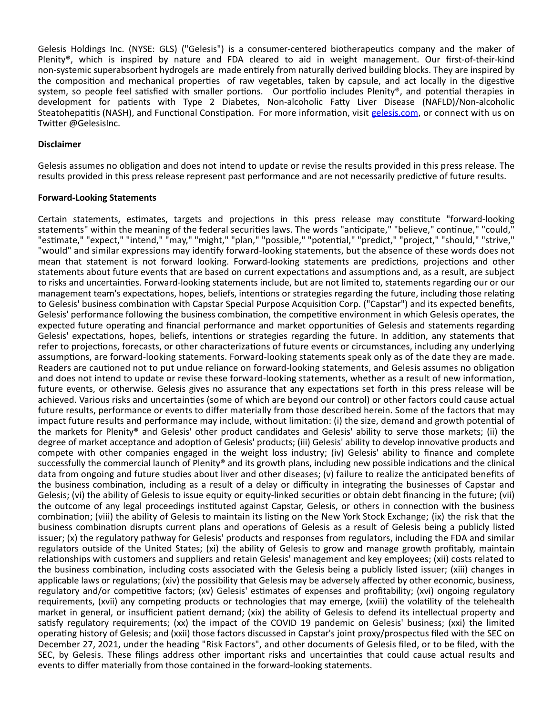Gelesis Holdings Inc. (NYSE: GLS) ("Gelesis") is a consumer-centered biotherapeutics company and the maker of Plenity®, which is inspired by nature and FDA cleared to aid in weight management. Our first-of-their-kind non-systemic superabsorbent hydrogels are made entirely from naturally derived building blocks. They are inspired by the composition and mechanical properties of raw vegetables, taken by capsule, and act locally in the digestive system, so people feel satisfied with smaller portions. Our portfolio includes Plenity®, and potential therapies in development for patients with Type 2 Diabetes, Non-alcoholic Fatty Liver Disease (NAFLD)/Non-alcoholic Steatohepatitis (NASH), and Functional Constipation. For more information, visit [gelesis.com,](https://www.gelesis.com/) or connect with us on Twitter @GelesisInc.

# **Disclaimer**

Gelesis assumes no obligation and does not intend to update or revise the results provided in this press release. The results provided in this press release represent past performance and are not necessarily predictive of future results.

#### **Forward-Looking Statements**

Certain statements, estimates, targets and projections in this press release may constitute "forward-looking statements" within the meaning of the federal securities laws. The words "anticipate," "believe," continue," "could," "estimate," "expect," "intend," "may," "might," "plan," "possible," "potential," "predict," "project," "should," "strive," "would" and similar expressions may identify forward-looking statements, but the absence of these words does not mean that statement is not forward looking. Forward-looking statements are predictions, projections and other statements about future events that are based on current expectations and assumptions and, as a result, are subject to risks and uncertainties. Forward-looking statements include, but are not limited to, statements regarding our or our management team's expectations, hopes, beliefs, intentions or strategies regarding the future, including those relating to Gelesis' business combination with Capstar Special Purpose Acquisition Corp. ("Capstar") and its expected benefits, Gelesis' performance following the business combination, the competitive environment in which Gelesis operates, the expected future operating and financial performance and market opportunities of Gelesis and statements regarding Gelesis' expectations, hopes, beliefs, intentions or strategies regarding the future. In addition, any statements that refer to projections, forecasts, or other characterizations of future events or circumstances, including any underlying assumptions, are forward-looking statements. Forward-looking statements speak only as of the date they are made. Readers are cautioned not to put undue reliance on forward-looking statements, and Gelesis assumes no obligation and does not intend to update or revise these forward-looking statements, whether as a result of new information, future events, or otherwise. Gelesis gives no assurance that any expectations set forth in this press release will be achieved. Various risks and uncertainties (some of which are beyond our control) or other factors could cause actual future results, performance or events to differ materially from those described herein. Some of the factors that may impact future results and performance may include, without limitation: (i) the size, demand and growth potential of the markets for Plenity® and Gelesis' other product candidates and Gelesis' ability to serve those markets; (ii) the degree of market acceptance and adoption of Gelesis' products; (iii) Gelesis' ability to develop innovative products and compete with other companies engaged in the weight loss industry; (iv) Gelesis' ability to finance and complete successfully the commercial launch of Plenity® and its growth plans, including new possible indications and the clinical data from ongoing and future studies about liver and other diseases: (v) failure to realize the anticipated benefits of the business combination, including as a result of a delay or difficulty in integrating the businesses of Capstar and Gelesis; (vi) the ability of Gelesis to issue equity or equity-linked securities or obtain debt financing in the future; (vii) the outcome of any legal proceedings instituted against Capstar, Gelesis, or others in connection with the business combination; (viii) the ability of Gelesis to maintain its listing on the New York Stock Exchange; (ix) the risk that the business combination disrupts current plans and operations of Gelesis as a result of Gelesis being a publicly listed issuer; (x) the regulatory pathway for Gelesis' products and responses from regulators, including the FDA and similar regulators outside of the United States; (xi) the ability of Gelesis to grow and manage growth profitably, maintain relationships with customers and suppliers and retain Gelesis' management and key employees; (xii) costs related to the business combination, including costs associated with the Gelesis being a publicly listed issuer; (xiii) changes in applicable laws or regulations; (xiv) the possibility that Gelesis may be adversely affected by other economic, business, regulatory and/or competitive factors; (xv) Gelesis' estimates of expenses and profitability; (xvi) ongoing regulatory requirements, (xvii) any competing products or technologies that may emerge, (xviii) the volatility of the telehealth market in general, or insufficient patient demand; (xix) the ability of Gelesis to defend its intellectual property and satisfy regulatory requirements; (xx) the impact of the COVID 19 pandemic on Gelesis' business; (xxi) the limited operaƟng history of Gelesis; and (xxii) those factors discussed in Capstar's joint proxy/prospectus filed with the SEC on December 27, 2021, under the heading "Risk Factors", and other documents of Gelesis filed, or to be filed, with the SEC, by Gelesis. These filings address other important risks and uncertainties that could cause actual results and events to differ materially from those contained in the forward-looking statements.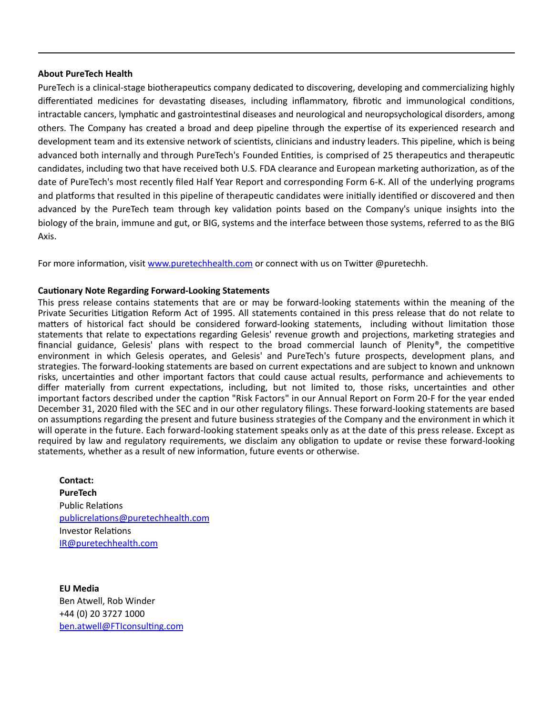# **About PureTech Health**

PureTech is a clinical-stage biotherapeutics company dedicated to discovering, developing and commercializing highly differentiated medicines for devastating diseases, including inflammatory, fibrotic and immunological conditions, intractable cancers, lymphatic and gastrointestinal diseases and neurological and neuropsychological disorders, among others. The Company has created a broad and deep pipeline through the expertise of its experienced research and development team and its extensive network of scientists, clinicians and industry leaders. This pipeline, which is being advanced both internally and through PureTech's Founded Entities, is comprised of 25 therapeutics and therapeutic candidates, including two that have received both U.S. FDA clearance and European marketing authorization, as of the date of PureTech's most recently filed Half Year Report and corresponding Form 6-K. All of the underlying programs and platforms that resulted in this pipeline of therapeutic candidates were initially identified or discovered and then advanced by the PureTech team through key validation points based on the Company's unique insights into the biology of the brain, immune and gut, or BIG, systems and the interface between those systems, referred to as the BIG Axis.

For more information, visit [www.puretechhealth.com o](http://www.puretechhealth.com/)r connect with us on Twitter @puretechh.

# **CauƟonary Note Regarding Forward-Looking Statements**

This press release contains statements that are or may be forward-looking statements within the meaning of the Private Securities Litigation Reform Act of 1995. All statements contained in this press release that do not relate to matters of historical fact should be considered forward-looking statements, including without limitation those statements that relate to expectations regarding Gelesis' revenue growth and projections, marketing strategies and financial guidance, Gelesis' plans with respect to the broad commercial launch of Plenity®, the competitive environment in which Gelesis operates, and Gelesis' and PureTech's future prospects, development plans, and strategies. The forward-looking statements are based on current expectations and are subject to known and unknown risks, uncertainties and other important factors that could cause actual results, performance and achievements to differ materially from current expectations, including, but not limited to, those risks, uncertainties and other important factors described under the caption "Risk Factors" in our Annual Report on Form 20-F for the year ended December 31, 2020 filed with the SEC and in our other regulatory filings. These forward-looking statements are based on assumptions regarding the present and future business strategies of the Company and the environment in which it will operate in the future. Each forward-looking statement speaks only as at the date of this press release. Except as required by law and regulatory requirements, we disclaim any obligation to update or revise these forward-looking statements, whether as a result of new information, future events or otherwise.

**Contact: PureTech** Public Relations [publicrelaƟons@puretechhealth.com](mailto:publicrelations@puretechhealth.com) Investor RelaƟons [IR@puretechhealth.com](mailto:IR@puretechhealth.com)

**EU Media** Ben Atwell, Rob Winder +44 (0) 20 3727 1000 ben.atwell@FTIconsulting.com